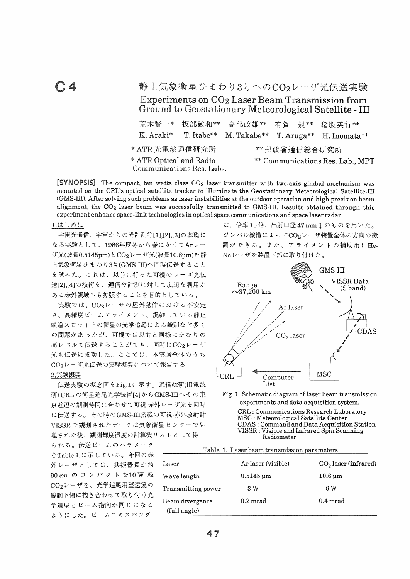$C.4$ 

静止気象衛星ひまわり3号へのCO2レーザ光伝送実験 Experiments on CO<sub>2</sub> Laser Beam Transmission from Ground to Geostationary Meteorological Satellite - III

| 荒木賢一*                                                | 板部敏和**                 | 高部政雄**                           | 有賀 規** |  | 猪股英行**                              |  |
|------------------------------------------------------|------------------------|----------------------------------|--------|--|-------------------------------------|--|
| K. Araki*                                            | T. Itabe <sup>**</sup> |                                  |        |  | M. Takabe** T. Aruga** H. Inomata** |  |
| * ATR 光電波通信研究所                                       | ** 郵政省通信総合研究所          |                                  |        |  |                                     |  |
| * ATR Optical and Radio<br>Communications Res. Labs. |                        | ** Communications Res. Lab., MPT |        |  |                                     |  |

[SYNOPSIS] The compact, ten watts class CO<sub>2</sub> laser transmitter with two-axis gimbal mechanism was mounted on the CRL's optical satellite tracker to illuminate the Geostationary Meteorological Satellite-III (GMS-III). After solving such problems as laser instabilities at the outdoor operation and high precision beam alignment, the CO<sub>2</sub> laser beam was successfully transmitted to GMS-III. Results obtained through this experiment enhance space-link technologies in optical space communications and space laser radar.

## 1.はじめに

宇宙光通信、宇宙からの光計測等[1],[2],[3]の基礎に なる実験として、1986年度冬から春にかけてArレー ザ光(波長0.5145μm)とCO2レーザ光(波長10.6μm)を静 止気象衛星ひまわり3号(GMS-III)へ同時伝送すること を試みた。これは、以前に行った可視のレーザ光伝 送[2],[4]の技術を、通信や計測に対して広範な利用が ある赤外領域へも拡張することを目的としている。

実験では、CO2レーザの屋外動作における不安定 さ、高精度ビームアライメント、混雑している静止 軌道スロット上の衛星の光学追尾による識別など多く の問題があったが、可視では以前と同様にかなりの 高レベルで伝送することができ、同時にCO2レーザ 光も伝送に成功した。ここでは、本実験全体のうち CO<sub>2</sub>レーザ光伝送の実験概要について報告する。

## 2.実験概要

伝送実験の概念図をFig.1に示す。通信総研(旧電波 研) CRL の衛星追尾光学装置[4]からGMS-IIIへその東 京近辺の観測時間に合わせて可視·赤外レーザ光を同時 に伝送する。その時のGMS-III搭載の可視·赤外放射計 VISSR で観測されたデータは気象衛星センターで処 理された後、観測輝度温度の計算機リストとして得

られる。伝送ビームのパラメータ をTable 1.に示している。今回の赤 外レーザとしては、共振器長が約 90 cm の コ ン パ ク ト な10 W 級 CO<sub>2</sub>レーザを、光学追尾用望遠鏡の 鏡胴下側に抱き合わせて取り付け光 学追尾とビーム指向が同じになる ようにした。ビームエキスパンダ

は、倍率10倍、出射口径47mmφのものを用いた。 ジンバル機構によってCO2レーザ装置全体の方向の微 調ができる。また、アライメントの補助用にHe-Neレーザを装置下部に取り付けた。



Fig. 1. Schematic diagram of laser beam transmission experiments and data acquisition system.

> CRL: Communications Research Laboratory MSC: Meteorological Satellite Center CDAS: Command and Data Acquisition Station VISSR: Visible and Infrared Spin Scanning Radiometer

| Table 1. Laser beam transmission parameters |                             |                           |  |  |  |
|---------------------------------------------|-----------------------------|---------------------------|--|--|--|
| Laser                                       | Ar laser (visible)          | $CO2$ laser (infrared)    |  |  |  |
| Wave length                                 | $0.5145 \,\mathrm{\upmu m}$ | $10.6 \,\mathrm{\upmu m}$ |  |  |  |
| Transmitting power                          | 3 W                         | 6 W                       |  |  |  |
| Beam divergence<br>(full angle)             | $0.2 \,\mathrm{mrad}$       | $0.4 \,\mathrm{mrad}$     |  |  |  |